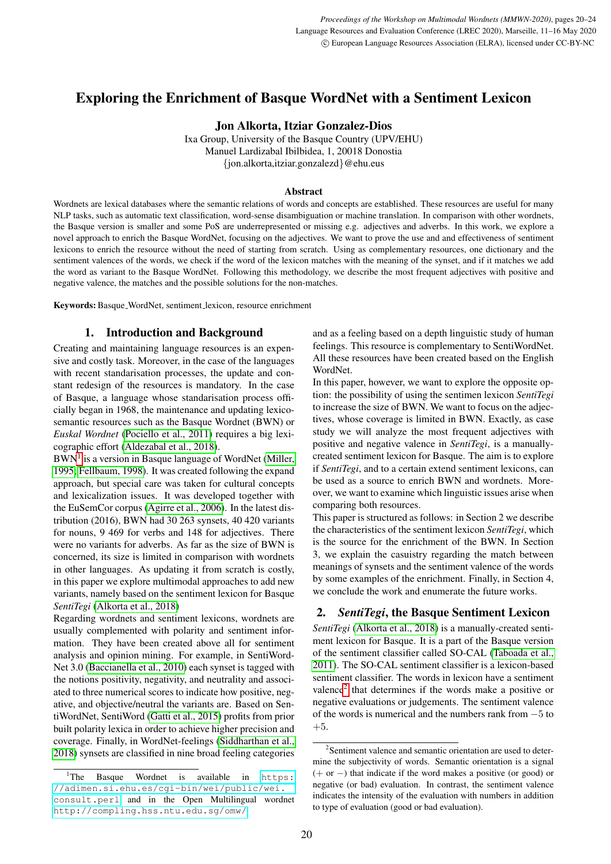# Exploring the Enrichment of Basque WordNet with a Sentiment Lexicon

Jon Alkorta, Itziar Gonzalez-Dios

Ixa Group, University of the Basque Country (UPV/EHU) Manuel Lardizabal Ibilbidea, 1, 20018 Donostia {jon.alkorta,itziar.gonzalezd}@ehu.eus

#### Abstract

Wordnets are lexical databases where the semantic relations of words and concepts are established. These resources are useful for many NLP tasks, such as automatic text classification, word-sense disambiguation or machine translation. In comparison with other wordnets, the Basque version is smaller and some PoS are underrepresented or missing e.g. adjectives and adverbs. In this work, we explore a novel approach to enrich the Basque WordNet, focusing on the adjectives. We want to prove the use and and effectiveness of sentiment lexicons to enrich the resource without the need of starting from scratch. Using as complementary resources, one dictionary and the sentiment valences of the words, we check if the word of the lexicon matches with the meaning of the synset, and if it matches we add the word as variant to the Basque WordNet. Following this methodology, we describe the most frequent adjectives with positive and negative valence, the matches and the possible solutions for the non-matches.

Keywords: Basque WordNet, sentiment lexicon, resource enrichment

## 1. Introduction and Background

Creating and maintaining language resources is an expensive and costly task. Moreover, in the case of the languages with recent standarisation processes, the update and constant redesign of the resources is mandatory. In the case of Basque, a language whose standarisation process officially began in 1968, the maintenance and updating lexicosemantic resources such as the Basque Wordnet (BWN) or *Euskal Wordnet* [\(Pociello et al., 2011\)](#page-4-0) requires a big lexicographic effort [\(Aldezabal et al., 2018\)](#page-3-0).

BWN<sup>[1](#page-0-0)</sup> is a version in Basque language of WordNet [\(Miller,](#page-4-1) [1995;](#page-4-1) [Fellbaum, 1998\)](#page-4-2). It was created following the expand approach, but special care was taken for cultural concepts and lexicalization issues. It was developed together with the EuSemCor corpus [\(Agirre et al., 2006\)](#page-3-1). In the latest distribution (2016), BWN had 30 263 synsets, 40 420 variants for nouns, 9 469 for verbs and 148 for adjectives. There were no variants for adverbs. As far as the size of BWN is concerned, its size is limited in comparison with wordnets in other languages. As updating it from scratch is costly, in this paper we explore multimodal approaches to add new variants, namely based on the sentiment lexicon for Basque *SentiTegi* [\(Alkorta et al., 2018\)](#page-3-2)

Regarding wordnets and sentiment lexicons, wordnets are usually complemented with polarity and sentiment information. They have been created above all for sentiment analysis and opinion mining. For example, in SentiWord-Net 3.0 [\(Baccianella et al., 2010\)](#page-3-3) each synset is tagged with the notions positivity, negativity, and neutrality and associated to three numerical scores to indicate how positive, negative, and objective/neutral the variants are. Based on SentiWordNet, SentiWord [\(Gatti et al., 2015\)](#page-4-3) profits from prior built polarity lexica in order to achieve higher precision and coverage. Finally, in WordNet-feelings [\(Siddharthan et al.,](#page-4-4) [2018\)](#page-4-4) synsets are classified in nine broad feeling categories

and as a feeling based on a depth linguistic study of human feelings. This resource is complementary to SentiWordNet. All these resources have been created based on the English WordNet.

In this paper, however, we want to explore the opposite option: the possibility of using the sentimen lexicon *SentiTegi* to increase the size of BWN. We want to focus on the adjectives, whose coverage is limited in BWN. Exactly, as case study we will analyze the most frequent adjectives with positive and negative valence in *SentiTegi*, is a manuallycreated sentiment lexicon for Basque. The aim is to explore if *SentiTegi*, and to a certain extend sentiment lexicons, can be used as a source to enrich BWN and wordnets. Moreover, we want to examine which linguistic issues arise when comparing both resources.

This paper is structured as follows: in Section 2 we describe the characteristics of the sentiment lexicon *SentiTegi*, which is the source for the enrichment of the BWN. In Section 3, we explain the casuistry regarding the match between meanings of synsets and the sentiment valence of the words by some examples of the enrichment. Finally, in Section 4, we conclude the work and enumerate the future works.

# 2. *SentiTegi*, the Basque Sentiment Lexicon

*SentiTegi* [\(Alkorta et al., 2018\)](#page-3-2) is a manually-created sentiment lexicon for Basque. It is a part of the Basque version of the sentiment classifier called SO-CAL [\(Taboada et al.,](#page-4-5) [2011\)](#page-4-5). The SO-CAL sentiment classifier is a lexicon-based sentiment classifier. The words in lexicon have a sentiment valence<sup>[2](#page-0-1)</sup> that determines if the words make a positive or negative evaluations or judgements. The sentiment valence of the words is numerical and the numbers rank from −5 to +5.

<span id="page-0-0"></span><sup>&</sup>lt;sup>1</sup>The Basque Wordnet is available in [https:](https://adimen.si.ehu.es/cgi-bin/wei/public/wei.consult.perl) [//adimen.si.ehu.es/cgi-bin/wei/public/wei.](https://adimen.si.ehu.es/cgi-bin/wei/public/wei.consult.perl) [consult.perl](https://adimen.si.ehu.es/cgi-bin/wei/public/wei.consult.perl) and in the Open Multilingual wordnet <http://compling.hss.ntu.edu.sg/omw/>

<span id="page-0-1"></span><sup>2</sup> Sentiment valence and semantic orientation are used to determine the subjectivity of words. Semantic orientation is a signal (+ or −) that indicate if the word makes a positive (or good) or negative (or bad) evaluation. In contrast, the sentiment valence indicates the intensity of the evaluation with numbers in addition to type of evaluation (good or bad evaluation).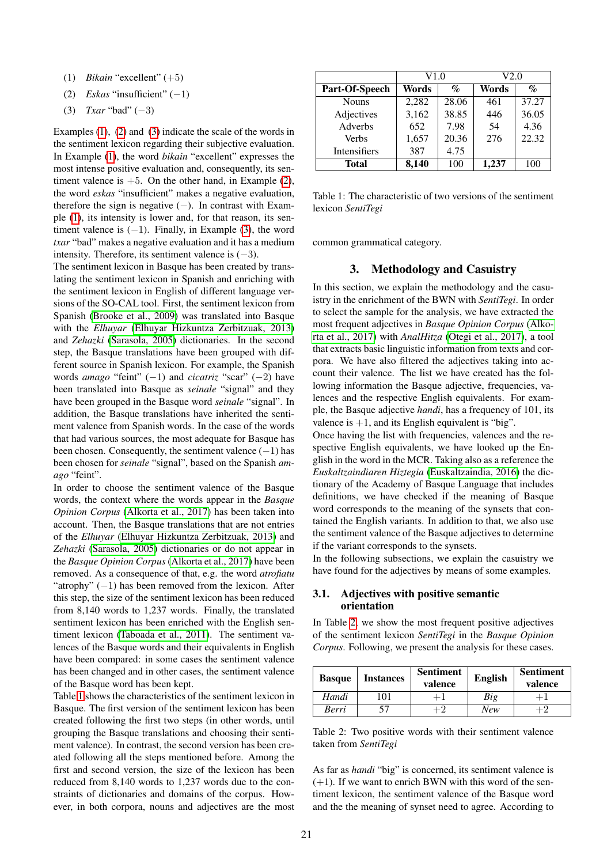- <span id="page-1-0"></span>(1) *Bikain* "excellent" (+5)
- <span id="page-1-1"></span>(2) *Eskas* "insufficient" (−1)
- <span id="page-1-2"></span>(3) *Txar* "bad" (−3)

Examples [\(1\)](#page-1-0), [\(2\)](#page-1-1) and [\(3\)](#page-1-2) indicate the scale of the words in the sentiment lexicon regarding their subjective evaluation. In Example [\(1\)](#page-1-0), the word *bikain* "excellent" expresses the most intense positive evaluation and, consequently, its sentiment valence is  $+5$ . On the other hand, in Example [\(2\)](#page-1-1), the word *eskas* "insufficient" makes a negative evaluation, therefore the sign is negative  $(-)$ . In contrast with Example [\(1\)](#page-1-0), its intensity is lower and, for that reason, its sentiment valence is  $(-1)$ . Finally, in Example [\(3\)](#page-1-2), the word *txar* "bad" makes a negative evaluation and it has a medium intensity. Therefore, its sentiment valence is  $(-3)$ .

The sentiment lexicon in Basque has been created by translating the sentiment lexicon in Spanish and enriching with the sentiment lexicon in English of different language versions of the SO-CAL tool. First, the sentiment lexicon from Spanish [\(Brooke et al., 2009\)](#page-3-4) was translated into Basque with the *Elhuyar* [\(Elhuyar Hizkuntza Zerbitzuak, 2013\)](#page-3-5) and *Zehazki* [\(Sarasola, 2005\)](#page-4-6) dictionaries. In the second step, the Basque translations have been grouped with different source in Spanish lexicon. For example, the Spanish words *amago* "feint" (−1) and *cicatriz* "scar" (−2) have been translated into Basque as *seinale* "signal" and they have been grouped in the Basque word *seinale* "signal". In addition, the Basque translations have inherited the sentiment valence from Spanish words. In the case of the words that had various sources, the most adequate for Basque has been chosen. Consequently, the sentiment valence  $(-1)$  has been chosen for *seinale* "signal", based on the Spanish *amago* "feint".

In order to choose the sentiment valence of the Basque words, the context where the words appear in the *Basque Opinion Corpus* [\(Alkorta et al., 2017\)](#page-3-6) has been taken into account. Then, the Basque translations that are not entries of the *Elhuyar* [\(Elhuyar Hizkuntza Zerbitzuak, 2013\)](#page-3-5) and *Zehazki* [\(Sarasola, 2005\)](#page-4-6) dictionaries or do not appear in the *Basque Opinion Corpus* [\(Alkorta et al., 2017\)](#page-3-6) have been removed. As a consequence of that, e.g. the word *atrofiatu* "atrophy"  $(-1)$  has been removed from the lexicon. After this step, the size of the sentiment lexicon has been reduced from 8,140 words to 1,237 words. Finally, the translated sentiment lexicon has been enriched with the English sentiment lexicon [\(Taboada et al., 2011\)](#page-4-5). The sentiment valences of the Basque words and their equivalents in English have been compared: in some cases the sentiment valence has been changed and in other cases, the sentiment valence of the Basque word has been kept.

Table [1](#page-1-3) shows the characteristics of the sentiment lexicon in Basque. The first version of the sentiment lexicon has been created following the first two steps (in other words, until grouping the Basque translations and choosing their sentiment valence). In contrast, the second version has been created following all the steps mentioned before. Among the first and second version, the size of the lexicon has been reduced from 8,140 words to 1,237 words due to the constraints of dictionaries and domains of the corpus. However, in both corpora, nouns and adjectives are the most

|                | V1.0  |                 | V2.0  |                             |  |
|----------------|-------|-----------------|-------|-----------------------------|--|
| Part-Of-Speech | Words | $\mathcal{O}_0$ | Words | $\mathcal{G}_{\mathcal{O}}$ |  |
| <b>Nouns</b>   | 2,282 | 28.06           | 461   | 37.27                       |  |
| Adjectives     | 3,162 | 38.85           | 446   | 36.05                       |  |
| Adverbs        | 652   | 7.98            | 54    | 4.36                        |  |
| <b>Verbs</b>   | 1,657 | 20.36           | 276   | 22.32                       |  |
| Intensifiers   | 387   | 4.75            |       |                             |  |
| <b>Total</b>   | 8,140 | 100             | 1,237 | 100                         |  |

<span id="page-1-3"></span>Table 1: The characteristic of two versions of the sentiment lexicon *SentiTegi*

common grammatical category.

# 3. Methodology and Casuistry

In this section, we explain the methodology and the casuistry in the enrichment of the BWN with *SentiTegi*. In order to select the sample for the analysis, we have extracted the most frequent adjectives in *Basque Opinion Corpus* [\(Alko](#page-3-6)[rta et al., 2017\)](#page-3-6) with *AnalHitza* [\(Otegi et al., 2017\)](#page-4-7), a tool that extracts basic linguistic information from texts and corpora. We have also filtered the adjectives taking into account their valence. The list we have created has the following information the Basque adjective, frequencies, valences and the respective English equivalents. For example, the Basque adjective *handi*, has a frequency of 101, its valence is  $+1$ , and its English equivalent is "big".

Once having the list with frequencies, valences and the respective English equivalents, we have looked up the English in the word in the MCR. Taking also as a reference the *Euskaltzaindiaren Hiztegia* [\(Euskaltzaindia, 2016\)](#page-4-8) the dictionary of the Academy of Basque Language that includes definitions, we have checked if the meaning of Basque word corresponds to the meaning of the synsets that contained the English variants. In addition to that, we also use the sentiment valence of the Basque adjectives to determine if the variant corresponds to the synsets.

In the following subsections, we explain the casuistry we have found for the adjectives by means of some examples.

#### 3.1. Adjectives with positive semantic orientation

In Table [2,](#page-1-4) we show the most frequent positive adjectives of the sentiment lexicon *SentiTegi* in the *Basque Opinion Corpus*. Following, we present the analysis for these cases.

| <b>Basque</b> | <b>Instances</b> | <b>Sentiment</b><br>valence | <b>English</b> | <b>Sentiment</b><br>valence |
|---------------|------------------|-----------------------------|----------------|-----------------------------|
| Handi         | 101              |                             | Big            |                             |
| Berri         |                  | ⊦2                          | <b>New</b>     |                             |

<span id="page-1-4"></span>Table 2: Two positive words with their sentiment valence taken from *SentiTegi*

As far as *handi* "big" is concerned, its sentiment valence is  $(+1)$ . If we want to enrich BWN with this word of the sentiment lexicon, the sentiment valence of the Basque word and the the meaning of synset need to agree. According to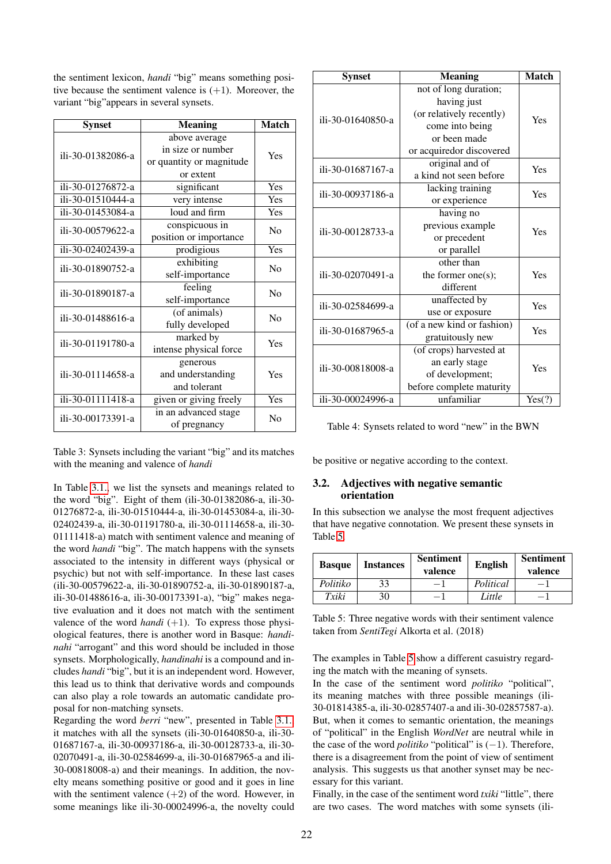the sentiment lexicon, *handi* "big" means something positive because the sentiment valence is  $(+1)$ . Moreover, the variant "big"appears in several synsets.

| <b>Synset</b>     | <b>Meaning</b>           | <b>Match</b>   |  |
|-------------------|--------------------------|----------------|--|
|                   | above average            |                |  |
| ili-30-01382086-a | in size or number        | Yes            |  |
|                   | or quantity or magnitude |                |  |
|                   | or extent                |                |  |
| ili-30-01276872-a | significant              | Yes            |  |
| ili-30-01510444-a | very intense             | Yes            |  |
| ili-30-01453084-a | loud and firm            | Yes            |  |
| ili-30-00579622-a | conspicuous in           |                |  |
|                   | position or importance   | N <sub>0</sub> |  |
| ili-30-02402439-a | prodigious               | Yes            |  |
|                   | exhibiting               | No             |  |
| ili-30-01890752-a | self-importance          |                |  |
| ili-30-01890187-a | feeling                  | N <sub>0</sub> |  |
|                   | self-importance          |                |  |
| ili-30-01488616-a | (of animals)             | N <sub>0</sub> |  |
|                   | fully developed          |                |  |
| ili-30-01191780-a | marked by                | Yes            |  |
|                   | intense physical force   |                |  |
|                   | generous                 |                |  |
| ili-30-01114658-a | and understanding        | Yes            |  |
|                   | and tolerant             |                |  |
| ili-30-01111418-a | given or giving freely   | Yes            |  |
| ili-30-00173391-a | in an advanced stage     |                |  |
|                   | of pregnancy             | No             |  |

<span id="page-2-0"></span>Table 3: Synsets including the variant "big" and its matches with the meaning and valence of *handi*

In Table [3.1.,](#page-1-4) we list the synsets and meanings related to the word "big". Eight of them (ili-30-01382086-a, ili-30- 01276872-a, ili-30-01510444-a, ili-30-01453084-a, ili-30- 02402439-a, ili-30-01191780-a, ili-30-01114658-a, ili-30- 01111418-a) match with sentiment valence and meaning of the word *handi* "big". The match happens with the synsets associated to the intensity in different ways (physical or psychic) but not with self-importance. In these last cases (ili-30-00579622-a, ili-30-01890752-a, ili-30-01890187-a, ili-30-01488616-a, ili-30-00173391-a), "big" makes negative evaluation and it does not match with the sentiment valence of the word *handi*  $(+1)$ . To express those physiological features, there is another word in Basque: *handinahi* "arrogant" and this word should be included in those synsets. Morphologically, *handinahi* is a compound and includes *handi* "big", but it is an independent word. However, this lead us to think that derivative words and compounds can also play a role towards an automatic candidate proposal for non-matching synsets.

Regarding the word *berri* "new", presented in Table [3.1.,](#page-2-0) it matches with all the synsets (ili-30-01640850-a, ili-30- 01687167-a, ili-30-00937186-a, ili-30-00128733-a, ili-30- 02070491-a, ili-30-02584699-a, ili-30-01687965-a and ili-30-00818008-a) and their meanings. In addition, the novelty means something positive or good and it goes in line with the sentiment valence  $(+2)$  of the word. However, in some meanings like ili-30-00024996-a, the novelty could

| <b>Synset</b>     | <b>Meaning</b>             | <b>Match</b> |
|-------------------|----------------------------|--------------|
|                   | not of long duration;      |              |
|                   | having just                | Yes          |
| ili-30-01640850-a | (or relatively recently)   |              |
|                   | come into being            |              |
|                   | or been made               |              |
|                   | or acquiredor discovered   |              |
| ili-30-01687167-a | original and of            | Yes          |
|                   | a kind not seen before     |              |
| ili-30-00937186-a | lacking training           | Yes          |
|                   | or experience              |              |
|                   | having no                  |              |
| ili-30-00128733-a | previous example           | Yes          |
|                   | or precedent               |              |
|                   | or parallel                |              |
|                   | other than                 |              |
| ili-30-02070491-a | the former one(s);         | Yes          |
|                   | different                  |              |
| ili-30-02584699-a | unaffected by              | Yes          |
|                   | use or exposure            |              |
| ili-30-01687965-a | (of a new kind or fashion) | Yes          |
|                   | gratuitously new           |              |
|                   | (of crops) harvested at    |              |
| ili-30-00818008-a | an early stage             | Yes          |
|                   | of development;            |              |
|                   | before complete maturity   |              |
| ili-30-00024996-a | unfamiliar                 | Yes(?)       |

Table 4: Synsets related to word "new" in the BWN

be positive or negative according to the context.

#### 3.2. Adjectives with negative semantic orientation

In this subsection we analyse the most frequent adjectives that have negative connotation. We present these synsets in Table [5.](#page-2-1)

| <b>Basque</b> | <b>Instances</b> | <b>Sentiment</b><br>valence | <b>English</b> | <b>Sentiment</b><br>valence |
|---------------|------------------|-----------------------------|----------------|-----------------------------|
| Politiko      | 33               | - 1                         | Political      | -1                          |
| Txiki         | 30               | -1                          | Little         | - 1                         |

<span id="page-2-1"></span>Table 5: Three negative words with their sentiment valence taken from *SentiTegi* Alkorta et al. (2018)

The examples in Table [5](#page-2-1) show a different casuistry regarding the match with the meaning of synsets.

In the case of the sentiment word *politiko* "political", its meaning matches with three possible meanings (ili-30-01814385-a, ili-30-02857407-a and ili-30-02857587-a). But, when it comes to semantic orientation, the meanings of "political" in the English *WordNet* are neutral while in the case of the word *politiko* "political" is (−1). Therefore, there is a disagreement from the point of view of sentiment analysis. This suggests us that another synset may be necessary for this variant.

Finally, in the case of the sentiment word *txiki* "little", there are two cases. The word matches with some synsets (ili-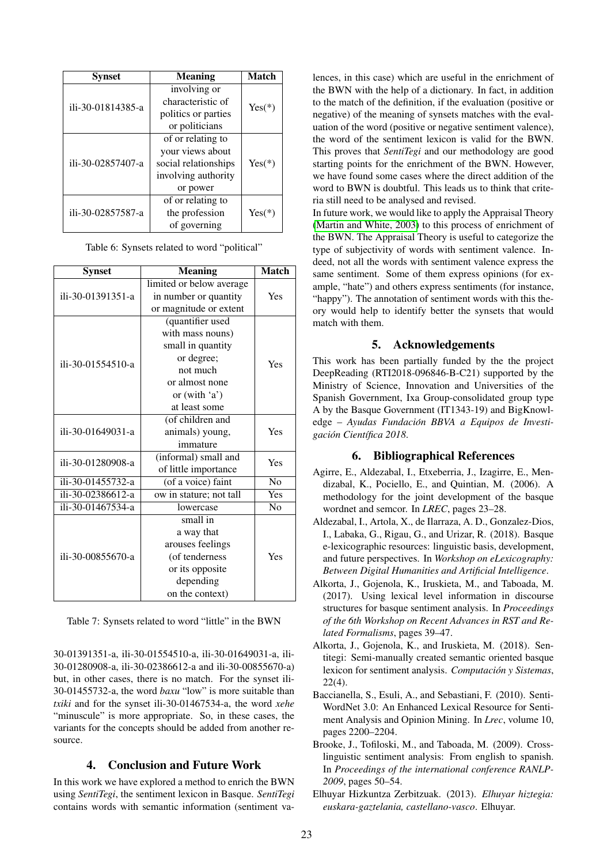| <b>Synset</b>     | <b>Meaning</b>       | <b>Match</b> |  |
|-------------------|----------------------|--------------|--|
|                   | involving or         |              |  |
| ili-30-01814385-a | characteristic of    | $Yes(*)$     |  |
|                   | politics or parties  |              |  |
|                   | or politicians       |              |  |
|                   | of or relating to    |              |  |
|                   | your views about     |              |  |
| ili-30-02857407-a | social relationships |              |  |
|                   | involving authority  |              |  |
|                   | or power             |              |  |
|                   | of or relating to    |              |  |
| ili-30-02857587-a | the profession       | $Yes(*)$     |  |
|                   | of governing         |              |  |

| Table 6: Synsets related to word "political" |  |  |  |  |  |
|----------------------------------------------|--|--|--|--|--|
|----------------------------------------------|--|--|--|--|--|

| <b>Synset</b>     | <b>Meaning</b>           | <b>Match</b>   |  |
|-------------------|--------------------------|----------------|--|
|                   | limited or below average |                |  |
| ili-30-01391351-a | in number or quantity    | Yes            |  |
|                   | or magnitude or extent   |                |  |
|                   | (quantifier used         |                |  |
|                   | with mass nouns)         |                |  |
|                   | small in quantity        |                |  |
| ili-30-01554510-a | or degree;               | Yes            |  |
|                   | not much                 |                |  |
|                   | or almost none           |                |  |
|                   | or $(with 'a')$          |                |  |
|                   | at least some            |                |  |
|                   | (of children and         |                |  |
| ili-30-01649031-a | animals) young,          | Yes            |  |
|                   | immature                 |                |  |
| ili-30-01280908-a | (informal) small and     | Yes            |  |
|                   | of little importance     |                |  |
| ili-30-01455732-a | (of a voice) faint       | N <sub>0</sub> |  |
| ili-30-02386612-a | ow in stature; not tall  | Yes            |  |
| ili-30-01467534-a | <b>lowercase</b>         | N <sub>0</sub> |  |
|                   | small in                 |                |  |
|                   | a way that               |                |  |
| ili-30-00855670-a | arouses feelings         | Yes            |  |
|                   | (of tenderness           |                |  |
|                   | or its opposite          |                |  |
|                   | depending                |                |  |
|                   | on the context)          |                |  |

Table 7: Synsets related to word "little" in the BWN

30-01391351-a, ili-30-01554510-a, ili-30-01649031-a, ili-30-01280908-a, ili-30-02386612-a and ili-30-00855670-a) but, in other cases, there is no match. For the synset ili-30-01455732-a, the word *baxu* "low" is more suitable than *txiki* and for the synset ili-30-01467534-a, the word *xehe* "minuscule" is more appropriate. So, in these cases, the variants for the concepts should be added from another resource.

#### 4. Conclusion and Future Work

In this work we have explored a method to enrich the BWN using *SentiTegi*, the sentiment lexicon in Basque. *SentiTegi* contains words with semantic information (sentiment valences, in this case) which are useful in the enrichment of the BWN with the help of a dictionary. In fact, in addition to the match of the definition, if the evaluation (positive or negative) of the meaning of synsets matches with the evaluation of the word (positive or negative sentiment valence), the word of the sentiment lexicon is valid for the BWN. This proves that *SentiTegi* and our methodology are good starting points for the enrichment of the BWN. However, we have found some cases where the direct addition of the word to BWN is doubtful. This leads us to think that criteria still need to be analysed and revised.

In future work, we would like to apply the Appraisal Theory [\(Martin and White, 2003\)](#page-4-9) to this process of enrichment of the BWN. The Appraisal Theory is useful to categorize the type of subjectivity of words with sentiment valence. Indeed, not all the words with sentiment valence express the same sentiment. Some of them express opinions (for example, "hate") and others express sentiments (for instance, "happy"). The annotation of sentiment words with this theory would help to identify better the synsets that would match with them.

### 5. Acknowledgements

This work has been partially funded by the the project DeepReading (RTI2018-096846-B-C21) supported by the Ministry of Science, Innovation and Universities of the Spanish Government, Ixa Group-consolidated group type A by the Basque Government (IT1343-19) and BigKnowledge – *Ayudas Fundacion BBVA a Equipos de Investi- ´ gacion Cient ´ ´ıfica 2018*.

## 6. Bibliographical References

- <span id="page-3-1"></span>Agirre, E., Aldezabal, I., Etxeberria, J., Izagirre, E., Mendizabal, K., Pociello, E., and Quintian, M. (2006). A methodology for the joint development of the basque wordnet and semcor. In *LREC*, pages 23–28.
- <span id="page-3-0"></span>Aldezabal, I., Artola, X., de Ilarraza, A. D., Gonzalez-Dios, I., Labaka, G., Rigau, G., and Urizar, R. (2018). Basque e-lexicographic resources: linguistic basis, development, and future perspectives. In *Workshop on eLexicography: Between Digital Humanities and Artificial Intelligence*.
- <span id="page-3-6"></span>Alkorta, J., Gojenola, K., Iruskieta, M., and Taboada, M. (2017). Using lexical level information in discourse structures for basque sentiment analysis. In *Proceedings of the 6th Workshop on Recent Advances in RST and Related Formalisms*, pages 39–47.
- <span id="page-3-2"></span>Alkorta, J., Gojenola, K., and Iruskieta, M. (2018). Sentitegi: Semi-manually created semantic oriented basque lexicon for sentiment analysis. *Computación y Sistemas*, 22(4).
- <span id="page-3-3"></span>Baccianella, S., Esuli, A., and Sebastiani, F. (2010). Senti-WordNet 3.0: An Enhanced Lexical Resource for Sentiment Analysis and Opinion Mining. In *Lrec*, volume 10, pages 2200–2204.
- <span id="page-3-4"></span>Brooke, J., Tofiloski, M., and Taboada, M. (2009). Crosslinguistic sentiment analysis: From english to spanish. In *Proceedings of the international conference RANLP-2009*, pages 50–54.
- <span id="page-3-5"></span>Elhuyar Hizkuntza Zerbitzuak. (2013). *Elhuyar hiztegia: euskara-gaztelania, castellano-vasco*. Elhuyar.